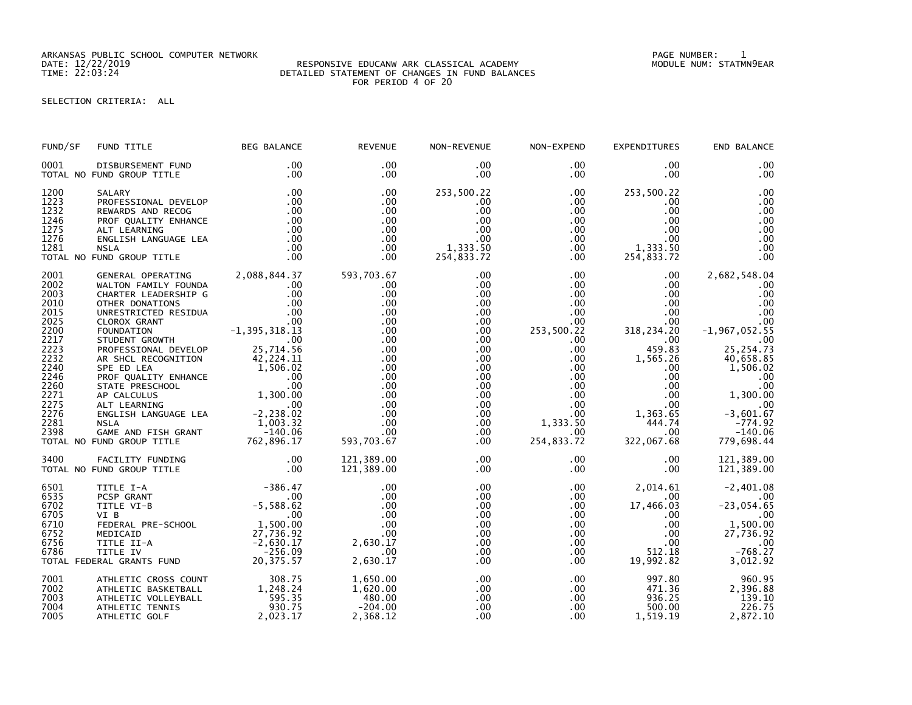ARKANSAS PUBLIC SCHOOL COMPUTER NETWORK PAGE NUMBER: 1

## DATE: 12/22/2019 RESPONSIVE EDUCANW ARK CLASSICAL ACADEMY MODULE NUM: STATMN9EAR TIME: 22:03:24 DETAILED STATEMENT OF CHANGES IN FUND BALANCES FOR PERIOD 4 OF 20

## SELECTION CRITERIA: ALL

| FUND/SF                                                                                                                                                                                    | FUND TITLE                                                                                                                                                                                                                                                                                                                                                                                                                                          | <b>BEG BALANCE</b>                                                                                                                                                                                          | <b>REVENUE</b>                                                                                                                                       | NON-REVENUE                                                                                                                                                                              | NON-EXPEND                                                                                                                                                                                                  | <b>EXPENDITURES</b>                                                                                                                                                                                                             | END BALANCE                                                                                                                                                                                                |
|--------------------------------------------------------------------------------------------------------------------------------------------------------------------------------------------|-----------------------------------------------------------------------------------------------------------------------------------------------------------------------------------------------------------------------------------------------------------------------------------------------------------------------------------------------------------------------------------------------------------------------------------------------------|-------------------------------------------------------------------------------------------------------------------------------------------------------------------------------------------------------------|------------------------------------------------------------------------------------------------------------------------------------------------------|------------------------------------------------------------------------------------------------------------------------------------------------------------------------------------------|-------------------------------------------------------------------------------------------------------------------------------------------------------------------------------------------------------------|---------------------------------------------------------------------------------------------------------------------------------------------------------------------------------------------------------------------------------|------------------------------------------------------------------------------------------------------------------------------------------------------------------------------------------------------------|
| 0001                                                                                                                                                                                       | DISBURSEMENT FUND<br>TOTAL NO FUND GROUP TITLE                                                                                                                                                                                                                                                                                                                                                                                                      | .00<br>.00                                                                                                                                                                                                  | .00<br>$.00 \times$                                                                                                                                  | .00<br>$.00 \,$                                                                                                                                                                          | .00<br>$.00 \,$                                                                                                                                                                                             | $.00 \,$<br>$.00 \,$                                                                                                                                                                                                            | .00<br>.00                                                                                                                                                                                                 |
| 1200<br>1223<br>1232<br>1246<br>1275<br>1276<br>1281                                                                                                                                       | SALARY<br>PROFESSIONAL DEVELOP<br>0.<br>00.<br>COLL LEARNING 00<br>ENGLISH LANGUAGE LEA 00<br>NSLA 00.<br>ND GROUP TITLE<br>ND GROUP TITLE<br>1990.<br>ND GROUP TITLE<br>TOTAL NO FUND GROUP TITLE                                                                                                                                                                                                                                                  | .00<br>.00                                                                                                                                                                                                  | .00<br>.00<br>.00<br>.00<br>.00<br>.00<br>.00<br>.00                                                                                                 | 253,500.22<br>$.00 \,$<br>.00<br>.00<br>.00<br>.00<br>1,333.50<br>254,833.72                                                                                                             | $.00 \,$<br>$.00 \,$<br>$.00 \,$<br>$.00\,$<br>$.00\,$<br>.00<br>$.00 \,$<br>.00                                                                                                                            | 253,500.22<br>$.00 \,$<br>$.00 \,$<br>$.00 \,$<br>$.00 \,$<br>.00 <sub>1</sub><br>$1,333.50$<br>$254.822.72$<br>254,833.72                                                                                                      | .00<br>.00<br>.00<br>.00<br>.00<br>.00<br>.00<br>.00                                                                                                                                                       |
| 2001<br>2002<br>2003<br>2010<br>2015<br>2025<br>2200<br>2217<br>2223<br>$\overline{2}\overline{2}\overline{3}\overline{2}$<br>2240<br>2246<br>2260<br>2271<br>2275<br>2276<br>2281<br>2398 | GENERAL OPERATING 2,088,844.37<br>WALTON FAMILY FOUNDA<br>CHARTER LEADERSHIP G<br>OTHER DONATIONS<br>UNRESTRICTED RESIDUA<br>CLOROX GRANT<br>FOUNDATION<br>STUDENT GROWTH<br>PROFESSIONAL DEVELOP<br>AR SHCL RECOGNITION<br>SPE ED LEA<br>PROF QUALITY ENHANCE<br>STATE PRESCHOOL<br>00<br>AP CALCULUS 1,300.00<br>ALT LEARNING 00<br>ENGLISH LANGUAGE LEA -2,238.02<br>2,238.02<br><b>NSLA</b><br>GAME AND FISH GRANT<br>TOTAL NO FUND GROUP TITLE | $.00 \,$<br>.00<br>.00<br>.00<br>$-1,395,318.13$<br>00<br>75 714 56<br>25,714.56<br>42,224.11<br>$\begin{array}{c} +2,224.11 \\ 1,506.02 \end{array}$<br>1,003.32<br>$-140.06$<br>uu. uu–<br>762 , 896 . 17 | 593,703.67<br>$.00 \,$<br>.00<br>.00<br>.00<br>.00<br>.00<br>.00<br>.00<br>.00<br>.00<br>.00<br>.00<br>.00<br>.00<br>.00<br>.00<br>.00<br>593,703.67 | $.00 \,$<br>$.00 \,$<br>.00<br>$.00 \,$<br>.00<br>.00<br>.00<br>.00<br>.00<br>.00<br>$.00 \,$<br>$.00 \,$<br>$.00 \,$<br>$.00 \,$<br>$.00 \,$<br>$.00 \,$<br>.00<br>$.00 \,$<br>$.00 \,$ | $.00 \ \,$<br>$.00\,$<br>$.00\,$<br>.00<br>.00 <sub>1</sub><br>.00<br>253,500.22<br>$.00 \,$<br>$.00 \,$<br>$.00\,$<br>$.00\,$<br>.00<br>.00<br>.00<br>.00<br>$.00\,$<br>1,333.50<br>$.00 \,$<br>254,833.72 | $.00 \,$<br>$.00 \,$<br>$.00 \,$<br>$.00 \,$<br>$.00 \,$<br>.00<br>318, 234. 20<br>$.00 \,$<br>459.83<br>1,565.26<br>$.00 \,$<br>$.00 \,$<br>.00<br>$.00\,$<br>.00 <sub>1</sub><br>1,363.65<br>444.74<br>$.00 \,$<br>322,067.68 | 2,682,548.04<br>.00<br>.00<br>.00<br>.00<br>.00<br>$-1, 967, 052.55$<br>.00<br>25, 254.73<br>40,658.85<br>1,506.02<br>.00<br>.00<br>1,300.00<br>.00<br>$-3,601.67$<br>$-774.92$<br>$-140.06$<br>779,698.44 |
| 3400                                                                                                                                                                                       | FACILITY FUNDING<br>FUND GROUP TITLE<br>TOTAL NO FUND GROUP TITLE                                                                                                                                                                                                                                                                                                                                                                                   | .00<br>.00                                                                                                                                                                                                  | 121,389.00<br>121,389.00                                                                                                                             | $.00 \,$<br>$.00 \,$                                                                                                                                                                     | .00<br>.00                                                                                                                                                                                                  | $.00 \,$<br>.00 <sub>1</sub>                                                                                                                                                                                                    | 121,389.00<br>121,389.00                                                                                                                                                                                   |
| 6501<br>6535<br>6702<br>6705<br>6710<br>6752<br>6756<br>6786                                                                                                                               | -386.47<br>- VI-B<br>-5,588.62<br>-5,588.62<br>FEDERAL PRE-SCHOOL<br>MEDICAID<br>-7,736.92<br>-2,630.17<br>-256.09<br>-256.00<br>-256.09<br>-256.09<br>-256.09<br>-256.09<br>-256.09<br>-256.09<br>-256.09<br>-256.09<br>-256.09<br>-256.09<br>-256.09<br>-256.09<br>-256.<br>TOTAL FEDERAL GRANTS FUND                                                                                                                                             |                                                                                                                                                                                                             | .00<br>.00<br>.00<br>.00<br>.00<br>.00<br>2,630.17<br>.00<br>2,630.17                                                                                | .00<br>$.00 \,$<br>.00<br>.00<br>$.00 \,$<br>$.00 \,$<br>$.00 \,$<br>.00<br>.00.                                                                                                         | $.00 \,$<br>$.00 \,$<br>$.00 \,$<br>.00 <sub>1</sub><br>$.00 \,$<br>$.00\,$<br>$.00 \ \,$<br>.00<br>.00                                                                                                     | 2,014.61<br>$.00 \cdot$<br>17,466.03<br>$.00 \,$<br>$.00 \ \,$<br>$.00 \,$<br>$.00 \,$<br>512.18<br>19,992.82                                                                                                                   | $-2,401.08$<br>.00<br>$-23,054.65$<br>$\sim$ $\sim$ $\sim$ 00<br>1,500.00<br>27,736.92<br>$-768.27$<br>3,012.92                                                                                            |
| 7001<br>7002<br>7003<br>7004<br>7005                                                                                                                                                       | ATHLETIC CROSS COUNT<br>ATHLETIC BASKETBALL<br>ATHLETIC VOLLEYBALL<br>ATHLETIC TENNIS<br>ATHLETIC GOLF                                                                                                                                                                                                                                                                                                                                              | 1,248.24<br>$-7.595.35$<br>930.75<br>2,023.17                                                                                                                                                               | 1,650.00<br>1,620.00<br>480.00<br>$-204.00$<br>2,368.12                                                                                              | .00<br>.00<br>$.00 \,$<br>.00<br>.00                                                                                                                                                     | .00<br>$.00\,$<br>$.00\,$<br>$.00 \,$<br>$.00 \,$                                                                                                                                                           | 997.80<br>471.36<br>936.25<br>500.00<br>1,519.19                                                                                                                                                                                | 960.95<br>2,396.88<br>139.10<br>226.75<br>2,872.10                                                                                                                                                         |